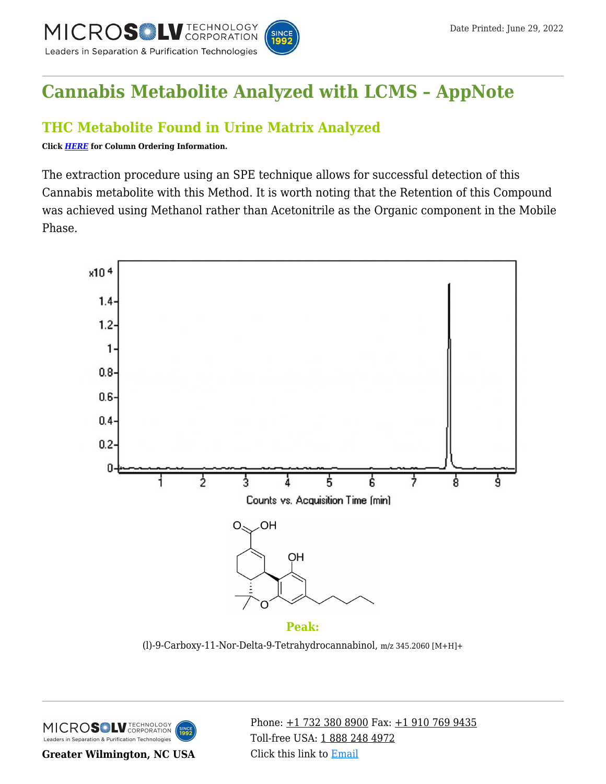

# **[Cannabis Metabolite Analyzed with LCMS – AppNote](https://kb.mtc-usa.com/article/aa-01803/46/)**

## **THC Metabolite Found in Urine Matrix Analyzed**

**Click** *[HERE](https://www.mtc-usa.com/Category/ID/241)* **for Column Ordering Information.**

The extraction procedure using an SPE technique allows for successful detection of this Cannabis metabolite with this Method. It is worth noting that the Retention of this Compound was achieved using Methanol rather than Acetonitrile as the Organic component in the Mobile Phase.



(l)-9-Carboxy-11-Nor-Delta-9-Tetrahydrocannabinol, m/z 345.2060 [M+H]+



**Greater Wilmington, NC USA**

Phone:  $\pm$ 1 732 380 8900 Fax:  $\pm$ 1 910 769 9435 Toll-free USA: [1 888 248 4972](#page--1-0) Click this link to [Email](https://www.mtc-usa.com/contact)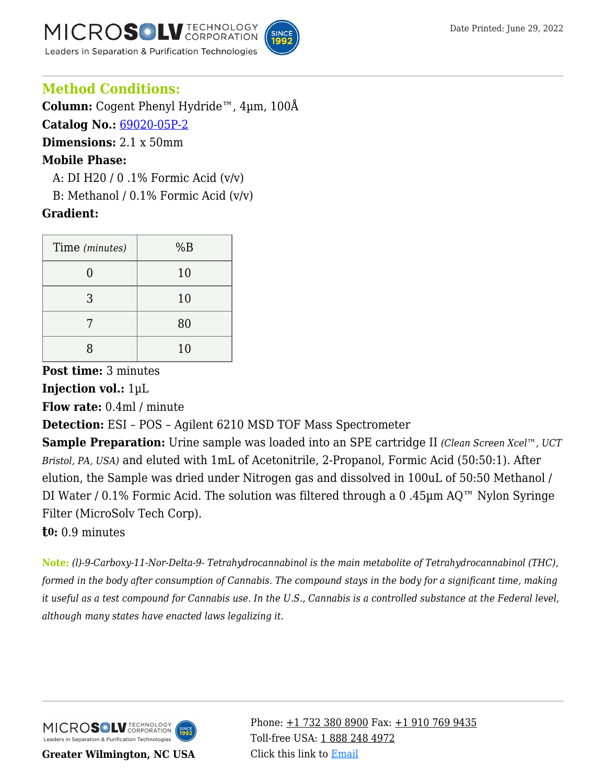**MICROS** LV **TECHNOLOGY** Leaders in Separation & Purification Technologies



### **Method Conditions:**

**Column:** Cogent Phenyl Hydride™, 4µm, 100Å **Catalog No.:** [69020-05P-2](https://www.mtc-usa.com/product-details/id/4115599)

**Dimensions:** 2.1 x 50mm

#### **Mobile Phase:**

—A: DI H20 / 0 .1% Formic Acid (v/v)

B: Methanol /  $0.1\%$  Formic Acid (v/v)

#### **Gradient:**

| Time (minutes) | %B |
|----------------|----|
| ⋂              | 10 |
| 3              | 10 |
|                | 80 |
| ጸ              | 10 |

**Post time:** 3 minutes

**Injection vol.:** 1µL

**Flow rate:** 0.4ml / minute

**Detection:** ESI – POS – Agilent 6210 MSD TOF Mass Spectrometer

**Sample Preparation:** Urine sample was loaded into an SPE cartridge II *(Clean Screen Xcel™, UCT Bristol, PA, USA)* and eluted with 1mL of Acetonitrile, 2-Propanol, Formic Acid (50:50:1). After elution, the Sample was dried under Nitrogen gas and dissolved in 100uL of 50:50 Methanol / DI Water / 0.1% Formic Acid. The solution was filtered through a 0 .45µm AQ™ Nylon Syringe Filter (MicroSolv Tech Corp).

#### **t0:** 0.9 minutes

**Note:** *(l)-9-Carboxy-11-Nor-Delta-9- Tetrahydrocannabinol is the main metabolite of Tetrahydrocannabinol (THC), formed in the body after consumption of Cannabis. The compound stays in the body for a significant time, making it useful as a test compound for Cannabis use. In the U.S., Cannabis is a controlled substance at the Federal level, although many states have enacted laws legalizing it.*



**Greater Wilmington, NC USA**

Phone:  $\pm$ 1 732 380 8900 Fax:  $\pm$ 1 910 769 9435 Toll-free USA: [1 888 248 4972](#page--1-0) Click this link to [Email](https://www.mtc-usa.com/contact)